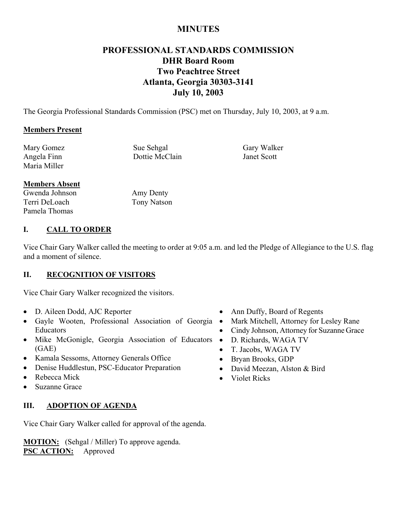# **MINUTES**

# **PROFESSIONAL STANDARDS COMMISSION DHR Board Room Two Peachtree Street Atlanta, Georgia 30303-3141 July 10, 2003**

The Georgia Professional Standards Commission (PSC) met on Thursday, July 10, 2003, at 9 a.m.

## **Members Present**

Mary Gomez Sue Sehgal Gary Walker Maria Miller

Angela Finn Dottie McClain Janet Scott

## **Members Absent**

Gwenda Johnson Terri DeLoach Pamela Thomas

Amy Denty Tony Natson

# **I. CALL TO ORDER**

Vice Chair Gary Walker called the meeting to order at 9:05 a.m. and led the Pledge of Allegiance to the U.S. flag and a moment of silence.

## **II. RECOGNITION OF VISITORS**

Vice Chair Gary Walker recognized the visitors.

- D. Aileen Dodd, AJC Reporter
- Gayle Wooten, Professional Association of Georgia Educators
- Mike McGonigle, Georgia Association of Educators (GAE)
- Kamala Sessoms, Attorney Generals Office
- Denise Huddlestun, PSC-Educator Preparation
- Rebecca Mick
- Suzanne Grace

## **III. ADOPTION OF AGENDA**

Vice Chair Gary Walker called for approval of the agenda.

**MOTION:** (Sehgal / Miller) To approve agenda. **PSC ACTION:** Approved

- Ann Duffy, Board of Regents
- Mark Mitchell, Attorney for Lesley Rane
- Cindy Johnson, Attorney for Suzanne Grace
- D. Richards, WAGA TV
- T. Jacobs, WAGA TV
- Bryan Brooks, GDP
- David Meezan, Alston & Bird
- Violet Ricks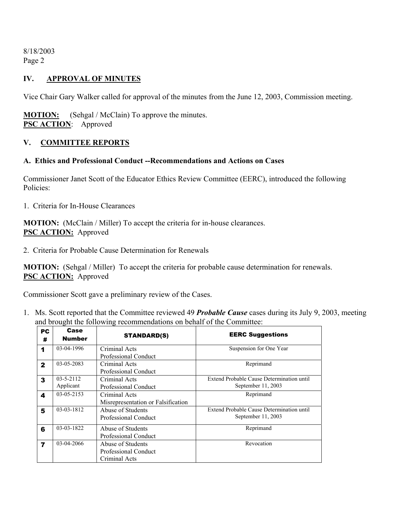# **IV. APPROVAL OF MINUTES**

Vice Chair Gary Walker called for approval of the minutes from the June 12, 2003, Commission meeting.

**MOTION:** (Sehgal / McClain) To approve the minutes. **PSC ACTION**: Approved

## **V. COMMITTEE REPORTS**

## **A. Ethics and Professional Conduct --Recommendations and Actions on Cases**

Commissioner Janet Scott of the Educator Ethics Review Committee (EERC), introduced the following Policies:

1. Criteria for In-House Clearances

**MOTION:** (McClain / Miller) To accept the criteria for in-house clearances. **PSC ACTION:** Approved

2. Criteria for Probable Cause Determination for Renewals

**MOTION:** (Sehgal / Miller) To accept the criteria for probable cause determination for renewals. **PSC ACTION:** Approved

Commissioner Scott gave a preliminary review of the Cases.

1. Ms. Scott reported that the Committee reviewed 49 *Probable Cause* cases during its July 9, 2003, meeting and brought the following recommendations on behalf of the Committee:

| PC<br>#                 | Case<br><b>Number</b>        | <b>STANDARD(S)</b>                                                | <b>EERC Suggestions</b>                                         |
|-------------------------|------------------------------|-------------------------------------------------------------------|-----------------------------------------------------------------|
| 1                       | 03-04-1996                   | Criminal Acts                                                     | Suspension for One Year                                         |
| $\mathbf{2}$            | 03-05-2083                   | Professional Conduct<br>Criminal Acts<br>Professional Conduct     | Reprimand                                                       |
| 3                       | $03 - 5 - 2112$<br>Applicant | Criminal Acts<br><b>Professional Conduct</b>                      | Extend Probable Cause Determination until<br>September 11, 2003 |
| 4                       | $03 - 05 - 2153$             | Criminal Acts<br>Misrepresentation or Falsification               | Reprimand                                                       |
| 5                       | 03-03-1812                   | Abuse of Students<br>Professional Conduct                         | Extend Probable Cause Determination until<br>September 11, 2003 |
| 6                       | 03-03-1822                   | Abuse of Students<br>Professional Conduct                         | Reprimand                                                       |
| $\overline{\mathbf{z}}$ | 03-04-2066                   | Abuse of Students<br><b>Professional Conduct</b><br>Criminal Acts | Revocation                                                      |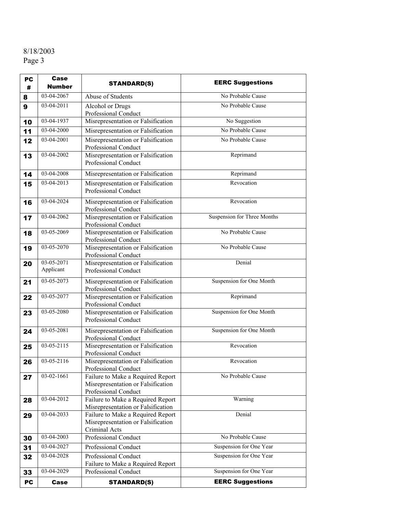| PC | Case                    | <b>STANDARD(S)</b>                                                                              | <b>EERC Suggestions</b>     |
|----|-------------------------|-------------------------------------------------------------------------------------------------|-----------------------------|
| #  | <b>Number</b>           |                                                                                                 |                             |
| 8  | 03-04-2067              | Abuse of Students                                                                               | No Probable Cause           |
| 9  | 03-04-2011              | Alcohol or Drugs<br>Professional Conduct                                                        | No Probable Cause           |
| 10 | 03-04-1937              | Misrepresentation or Falsification                                                              | No Suggestion               |
| 11 | 03-04-2000              | Misrepresentation or Falsification                                                              | No Probable Cause           |
| 12 | 03-04-2001              | Misrepresentation or Falsification<br>Professional Conduct                                      | No Probable Cause           |
| 13 | 03-04-2002              | Misrepresentation or Falsification<br>Professional Conduct                                      | Reprimand                   |
| 14 | 03-04-2008              | Misrepresentation or Falsification                                                              | Reprimand                   |
| 15 | 03-04-2013              | Misrepresentation or Falsification<br>Professional Conduct                                      | Revocation                  |
| 16 | 03-04-2024              | Misrepresentation or Falsification<br>Professional Conduct                                      | Revocation                  |
| 17 | 03-04-2062              | Misrepresentation or Falsification<br>Professional Conduct                                      | Suspension for Three Months |
| 18 | 03-05-2069              | Misrepresentation or Falsification<br>Professional Conduct                                      | No Probable Cause           |
| 19 | 03-05-2070              | Misrepresentation or Falsification<br>Professional Conduct                                      | No Probable Cause           |
| 20 | 03-05-2071<br>Applicant | Misrepresentation or Falsification<br>Professional Conduct                                      | Denial                      |
| 21 | 03-05-2073              | Misrepresentation or Falsification<br>Professional Conduct                                      | Suspension for One Month    |
| 22 | 03-05-2077              | Misrepresentation or Falsification<br>Professional Conduct                                      | Reprimand                   |
| 23 | $03 - 05 - 2080$        | Misrepresentation or Falsification<br>Professional Conduct                                      | Suspension for One Month    |
| 24 | 03-05-2081              | Misrepresentation or Falsification<br>Professional Conduct                                      | Suspension for One Month    |
| 25 | $03 - 05 - 2115$        | Misrepresentation or Falsification<br>Professional Conduct                                      | Revocation                  |
| 26 | $03-05-2116$            | Misrepresentation or Falsification<br>Professional Conduct                                      | Revocation                  |
| 27 | 03-02-1661              | Failure to Make a Required Report<br>Misrepresentation or Falsification<br>Professional Conduct | No Probable Cause           |
| 28 | 03-04-2012              | Failure to Make a Required Report<br>Misrepresentation or Falsification                         | Warning                     |
| 29 | 03-04-2033              | Failure to Make a Required Report<br>Misrepresentation or Falsification<br>Criminal Acts        | Denial                      |
| 30 | 03-04-2003              | Professional Conduct                                                                            | No Probable Cause           |
| 31 | 03-04-2027              | Professional Conduct                                                                            | Suspension for One Year     |
| 32 | 03-04-2028              | Professional Conduct<br>Failure to Make a Required Report                                       | Suspension for One Year     |
| 33 | 03-04-2029              | Professional Conduct                                                                            | Suspension for One Year     |
| PC | <b>Case</b>             | <b>STANDARD(S)</b>                                                                              | <b>EERC Suggestions</b>     |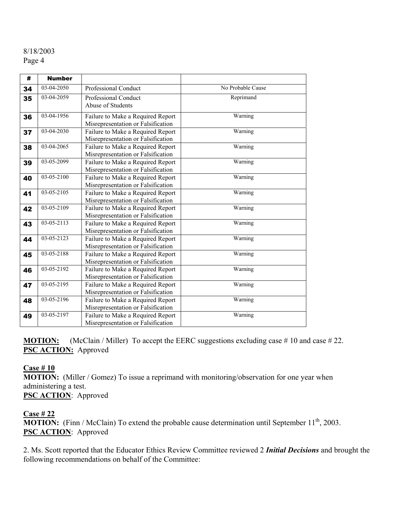| #  | <b>Number</b> |                                                                                    |                   |  |
|----|---------------|------------------------------------------------------------------------------------|-------------------|--|
| 34 | 03-04-2050    | Professional Conduct                                                               | No Probable Cause |  |
| 35 | 03-04-2059    | <b>Professional Conduct</b><br>Abuse of Students                                   | Reprimand         |  |
| 36 | 03-04-1956    | Failure to Make a Required Report<br>Misrepresentation or Falsification            | Warning           |  |
| 37 | 03-04-2030    | Failure to Make a Required Report<br>Misrepresentation or Falsification            | Warning           |  |
| 38 | 03-04-2065    | Failure to Make a Required Report<br>Misrepresentation or Falsification            | Warning           |  |
| 39 | 03-05-2099    | Failure to Make a Required Report<br>Misrepresentation or Falsification            | Warning           |  |
| 40 | 03-05-2100    | Failure to Make a Required Report<br>Misrepresentation or Falsification            | Warning           |  |
| 41 | 03-05-2105    | Failure to Make a Required Report<br>Misrepresentation or Falsification            | Warning           |  |
| 42 | 03-05-2109    | Warning<br>Failure to Make a Required Report<br>Misrepresentation or Falsification |                   |  |
| 43 | 03-05-2113    | Failure to Make a Required Report<br>Misrepresentation or Falsification            | Warning           |  |
| 44 | 03-05-2123    | Failure to Make a Required Report<br>Misrepresentation or Falsification            | Warning           |  |
| 45 | 03-05-2188    | Failure to Make a Required Report<br>Misrepresentation or Falsification            | Warning           |  |
| 46 | 03-05-2192    | Failure to Make a Required Report<br>Misrepresentation or Falsification            | Warning           |  |
| 47 | 03-05-2195    | Failure to Make a Required Report<br>Misrepresentation or Falsification            | Warning           |  |
| 48 | 03-05-2196    | Failure to Make a Required Report<br>Misrepresentation or Falsification            | Warning           |  |
| 49 | 03-05-2197    | Failure to Make a Required Report<br>Misrepresentation or Falsification            | Warning           |  |

**MOTION:** (McClain / Miller) To accept the EERC suggestions excluding case #10 and case #22. **PSC ACTION:** Approved

#### **Case # 10**

**MOTION:** (Miller / Gomez) To issue a reprimand with monitoring/observation for one year when administering a test.

**PSC ACTION**: Approved

## **Case # 22**

**MOTION:** (Finn / McClain) To extend the probable cause determination until September 11<sup>th</sup>, 2003. **PSC ACTION**: Approved

2. Ms. Scott reported that the Educator Ethics Review Committee reviewed 2 *Initial Decisions* and brought the following recommendations on behalf of the Committee: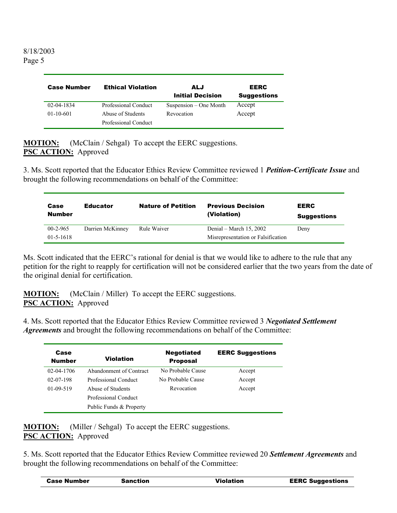| <b>Case Number</b> | <b>Ethical Violation</b>                  | ALJ<br><b>Initial Decision</b> | <b>EERC</b><br><b>Suggestions</b> |
|--------------------|-------------------------------------------|--------------------------------|-----------------------------------|
| 02-04-1834         | Professional Conduct                      | Suspension – One Month         | Accept                            |
| $01-10-601$        | Abuse of Students<br>Professional Conduct | Revocation                     | Accept                            |

**MOTION:** (McClain / Sehgal) To accept the EERC suggestions. **PSC ACTION:** Approved

3. Ms. Scott reported that the Educator Ethics Review Committee reviewed 1 *Petition-Certificate Issue* and brought the following recommendations on behalf of the Committee:

| Case<br><b>Number</b> | <b>Educator</b>  | <b>Nature of Petition</b> | <b>Previous Decision</b><br>(Violation) | <b>EERC</b><br><b>Suggestions</b> |
|-----------------------|------------------|---------------------------|-----------------------------------------|-----------------------------------|
| $00-2-965$            | Darrien McKinney | Rule Waiver               | Denial – March 15, 2002                 | Deny                              |
| $01 - 5 - 1618$       |                  |                           | Misrepresentation or Falsification      |                                   |

Ms. Scott indicated that the EERC's rational for denial is that we would like to adhere to the rule that any petition for the right to reapply for certification will not be considered earlier that the two years from the date of the original denial for certification.

**MOTION:** (McClain / Miller) To accept the EERC suggestions. **PSC ACTION:** Approved

4. Ms. Scott reported that the Educator Ethics Review Committee reviewed 3 *Negotiated Settlement Agreements* and brought the following recommendations on behalf of the Committee:

| Case<br><b>Number</b> | Violation               | <b>Negotiated</b><br><b>Proposal</b> | <b>EERC Suggestions</b> |
|-----------------------|-------------------------|--------------------------------------|-------------------------|
| 02-04-1706            | Abandonment of Contract | No Probable Cause                    | Accept                  |
| $02 - 07 - 198$       | Professional Conduct    | No Probable Cause                    | Accept                  |
| $01-09-519$           | Abuse of Students       | Revocation                           | Accept                  |
|                       | Professional Conduct    |                                      |                         |
|                       | Public Funds & Property |                                      |                         |

**MOTION:** (Miller / Sehgal) To accept the EERC suggestions. **PSC ACTION:** Approved

5. Ms. Scott reported that the Educator Ethics Review Committee reviewed 20 *Settlement Agreements* and brought the following recommendations on behalf of the Committee:

| <b>EERC Suggestions</b><br><b>Case Number</b><br>Violation<br><b>Sanction</b> |  |
|-------------------------------------------------------------------------------|--|
|-------------------------------------------------------------------------------|--|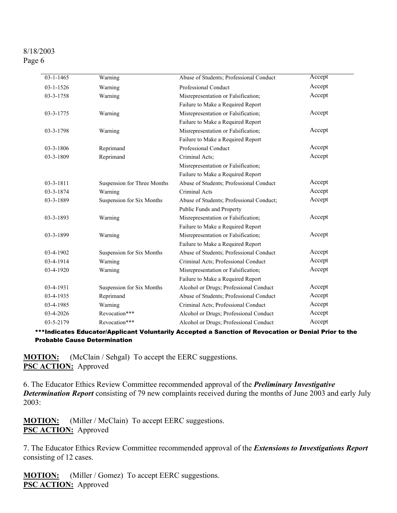| $03 - 1 - 1465$ | Warning                     | Abuse of Students; Professional Conduct  | Accept |
|-----------------|-----------------------------|------------------------------------------|--------|
| $03 - 1 - 1526$ | Warning                     | Professional Conduct                     | Accept |
| 03-3-1758       | Warning                     | Misrepresentation or Falsification;      | Accept |
|                 |                             | Failure to Make a Required Report        |        |
| 03-3-1775       | Warning                     | Misrepresentation or Falsification;      | Accept |
|                 |                             | Failure to Make a Required Report        |        |
| 03-3-1798       | Warning                     | Misrepresentation or Falsification;      | Accept |
|                 |                             | Failure to Make a Required Report        |        |
| 03-3-1806       | Reprimand                   | Professional Conduct                     | Accept |
| 03-3-1809       | Reprimand                   | Criminal Acts;                           | Accept |
|                 |                             | Misrepresentation or Falsification;      |        |
|                 |                             | Failure to Make a Required Report        |        |
| $03 - 3 - 1811$ | Suspension for Three Months | Abuse of Students; Professional Conduct  | Accept |
| 03-3-1874       | Warning                     | Criminal Acts                            | Accept |
| 03-3-1889       | Suspension for Six Months   | Abuse of Students; Professional Conduct; | Accept |
|                 |                             | Public Funds and Property                |        |
| 03-3-1893       | Warning                     | Misrepresentation or Falsification;      | Accept |
|                 |                             | Failure to Make a Required Report        |        |
| 03-3-1899       | Warning                     | Misrepresentation or Falsification;      | Accept |
|                 |                             | Failure to Make a Required Report        |        |
| 03-4-1902       | Suspension for Six Months   | Abuse of Students; Professional Conduct  | Accept |
| 03-4-1914       | Warning                     | Criminal Acts; Professional Conduct      | Accept |
| $03-4-1920$     | Warning                     | Misrepresentation or Falsification;      | Accept |
|                 |                             | Failure to Make a Required Report        |        |
| 03-4-1931       | Suspension for Six Months   | Alcohol or Drugs; Professional Conduct   | Accept |
| 03-4-1935       | Reprimand                   | Abuse of Students; Professional Conduct  | Accept |
| 03-4-1985       | Warning                     | Criminal Acts; Professional Conduct      | Accept |
| 03-4-2026       | Revocation***               | Alcohol or Drugs; Professional Conduct   | Accept |
| 03-5-2179       | Revocation***               | Alcohol or Drugs; Professional Conduct   | Accept |
|                 |                             |                                          |        |

\*\*\*Indicates Educator/Applicant Voluntarily Accepted a Sanction of Revocation or Denial Prior to the Probable Cause Determination

**MOTION:** (McClain / Sehgal) To accept the EERC suggestions. **PSC ACTION:** Approved

6. The Educator Ethics Review Committee recommended approval of the *Preliminary Investigative Determination Report* consisting of 79 new complaints received during the months of June 2003 and early July 2003:

**MOTION:** (Miller / McClain) To accept EERC suggestions. **PSC ACTION:** Approved

7. The Educator Ethics Review Committee recommended approval of the *Extensions to Investigations Report* consisting of 12 cases.

**MOTION:** (Miller / Gomez) To accept EERC suggestions. **PSC ACTION:** Approved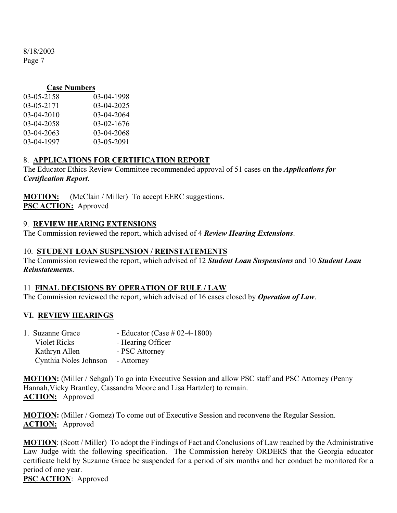## **Case Numbers**

| 03-04-1998 |
|------------|
| 03-04-2025 |
| 03-04-2064 |
| 03-02-1676 |
| 03-04-2068 |
| 03-05-2091 |
|            |

# 8. **APPLICATIONS FOR CERTIFICATION REPORT**

The Educator Ethics Review Committee recommended approval of 51 cases on the *Applications for Certification Report*.

**MOTION:** (McClain / Miller) To accept EERC suggestions. **PSC ACTION:** Approved

## 9. **REVIEW HEARING EXTENSIONS**

The Commission reviewed the report, which advised of 4 *Review Hearing Extensions*.

## 10. **STUDENT LOAN SUSPENSION / REINSTATEMENTS**

The Commission reviewed the report, which advised of 12 *Student Loan Suspensions* and 10 *Student Loan Reinstatements*.

## 11. **FINAL DECISIONS BY OPERATION OF RULE / LAW**

The Commission reviewed the report, which advised of 16 cases closed by *Operation of Law*.

## **VI. REVIEW HEARINGS**

| 1. Suzanne Grace      | - Educator (Case $\#$ 02-4-1800) |
|-----------------------|----------------------------------|
| <b>Violet Ricks</b>   | - Hearing Officer                |
| Kathryn Allen         | - PSC Attorney                   |
| Cynthia Noles Johnson | - Attorney                       |

**MOTION:** (Miller / Sehgal) To go into Executive Session and allow PSC staff and PSC Attorney (Penny Hannah,Vicky Brantley, Cassandra Moore and Lisa Hartzler) to remain. **ACTION:** Approved

**MOTION:** (Miller / Gomez) To come out of Executive Session and reconvene the Regular Session. **ACTION:** Approved

**MOTION**: (Scott / Miller) To adopt the Findings of Fact and Conclusions of Law reached by the Administrative Law Judge with the following specification. The Commission hereby ORDERS that the Georgia educator certificate held by Suzanne Grace be suspended for a period of six months and her conduct be monitored for a period of one year.

**PSC ACTION**: Approved